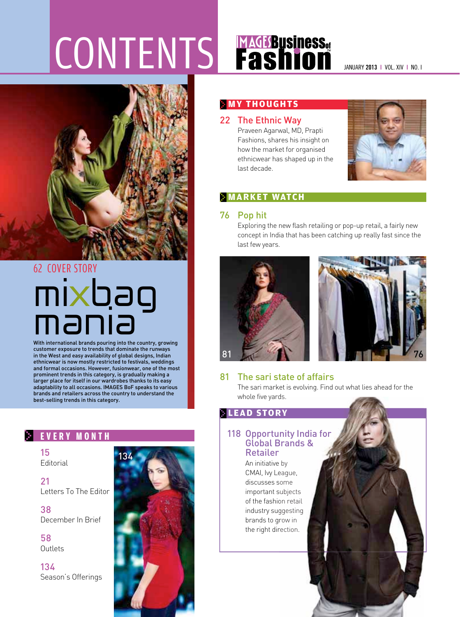# CONTENTS Fashion MAGES AND MANUARY 2013 I VOL. XIV I NO. I



## 62 COVER STORY mixbag<br>mania

With international brands pouring into the country, growing customer exposure to trends that dominate the runways in the West and easy availability of global designs, Indian ethnicwear is now mostly restricted to festivals, weddings and formal occasions. However, fusionwear, one of the most prominent trends in this category, is gradually making a larger place for itself in our wardrobes thanks to its easy adaptability to all occasions. IMAGES BoF speaks to various brands and retailers across the country to understand the best-selling trends in this category.

#### **E V E R Y M O N T H**

15 Editorial

21 Letters To The Editor

38 December In Brief

58 **Outlets** 

134 Season's Offerings



#### **MY THOUGHTS**

22 The Ethnic Way

 Praveen Agarwal, MD, Prapti Fashions, shares his insight on how the market for organised ethnicwear has shaped up in the last decade.



#### **MARKET WATCH**

#### 76 Pop hit

 Exploring the new flash retailing or pop-up retail, a fairly new concept in India that has been catching up really fast since the last few years.





#### 81 The sari state of affairs

 The sari market is evolving. Find out what lies ahead for the whole five yards.

#### **LEAD STORY**

#### 118 Opportunity India for Global Brands & Retailer

 An initiative by by CMAI, Ivy League, discusses some CMAI, Ivy League,<br>discusses some<br>important subjects of the fashion retail of the fashion retail<br>industry suggesting brands to grow in the right direction. 81<br> **Replace Solution**<br>
The sari market is evolving. Find out what lies ahead for the<br>
whole five yards.<br> **READ STORY**<br>
118 Opportunity India for<br>
Global Brands &<br>
Retailer<br>
An initiative by<br>
CMAI, by League,<br>
discusses so